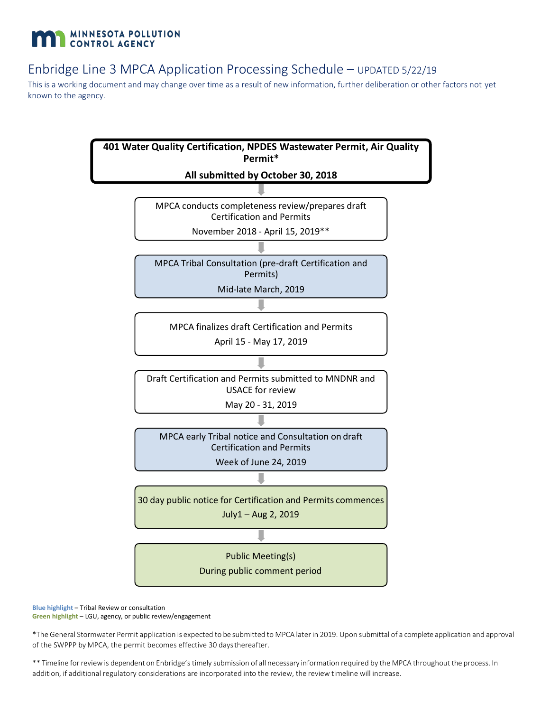## **MINNESOTA POLLUTION** CONTROL AGENCY

## Enbridge Line 3 MPCA Application Processing Schedule – UPDATED 5/22/19

This is a working document and may change over time as a result of new information, further deliberation or other factors not yet known to the agency.



**Blue highlight** – Tribal Review or consultation **Green highlight** – LGU, agency, or public review/engagement

\*The General Stormwater Permit application is expected to be submitted to MPCA laterin 2019. Upon submittal of a complete application and approval of the SWPPP by MPCA, the permit becomes effective 30 daysthereafter.

\*\* Timeline forreviewis dependent on Enbridge's timely submission of all necessary information required by the MPCA throughout the process. In addition, if additional regulatory considerations are incorporated into the review, the review timeline will increase.